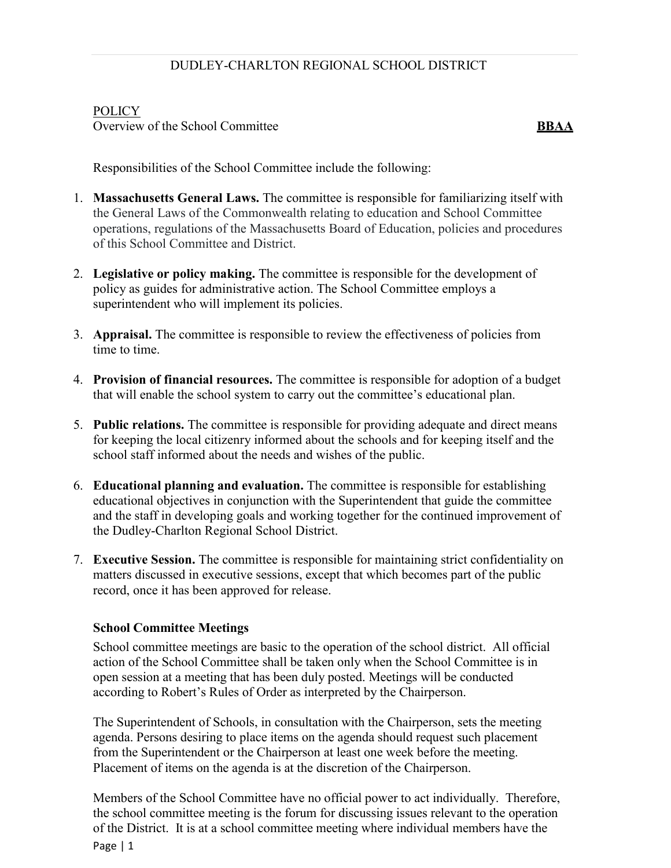## POLICY

Overview of the School Committee **BBAA**

Responsibilities of the School Committee include the following:

- 1. **Massachusetts General Laws.** The committee is responsible for familiarizing itself with the General Laws of the Commonwealth relating to education and School Committee operations, regulations of the Massachusetts Board of Education, policies and procedures of this School Committee and District.
- 2. **Legislative or policy making.** The committee is responsible for the development of policy as guides for administrative action. The School Committee employs a superintendent who will implement its policies.
- 3. **Appraisal.** The committee is responsible to review the effectiveness of policies from time to time.
- 4. **Provision of financial resources.** The committee is responsible for adoption of a budget that will enable the school system to carry out the committee's educational plan.
- 5. **Public relations.** The committee is responsible for providing adequate and direct means for keeping the local citizenry informed about the schools and for keeping itself and the school staff informed about the needs and wishes of the public.
- 6. **Educational planning and evaluation.** The committee is responsible for establishing educational objectives in conjunction with the Superintendent that guide the committee and the staff in developing goals and working together for the continued improvement of the Dudley-Charlton Regional School District.
- 7. **Executive Session.** The committee is responsible for maintaining strict confidentiality on matters discussed in executive sessions, except that which becomes part of the public record, once it has been approved for release.

## **School Committee Meetings**

School committee meetings are basic to the operation of the school district. All official action of the School Committee shall be taken only when the School Committee is in open session at a meeting that has been duly posted. Meetings will be conducted according to Robert's Rules of Order as interpreted by the Chairperson.

The Superintendent of Schools, in consultation with the Chairperson, sets the meeting agenda. Persons desiring to place items on the agenda should request such placement from the Superintendent or the Chairperson at least one week before the meeting. Placement of items on the agenda is at the discretion of the Chairperson.

Page | 1 Members of the School Committee have no official power to act individually. Therefore, the school committee meeting is the forum for discussing issues relevant to the operation of the District. It is at a school committee meeting where individual members have the